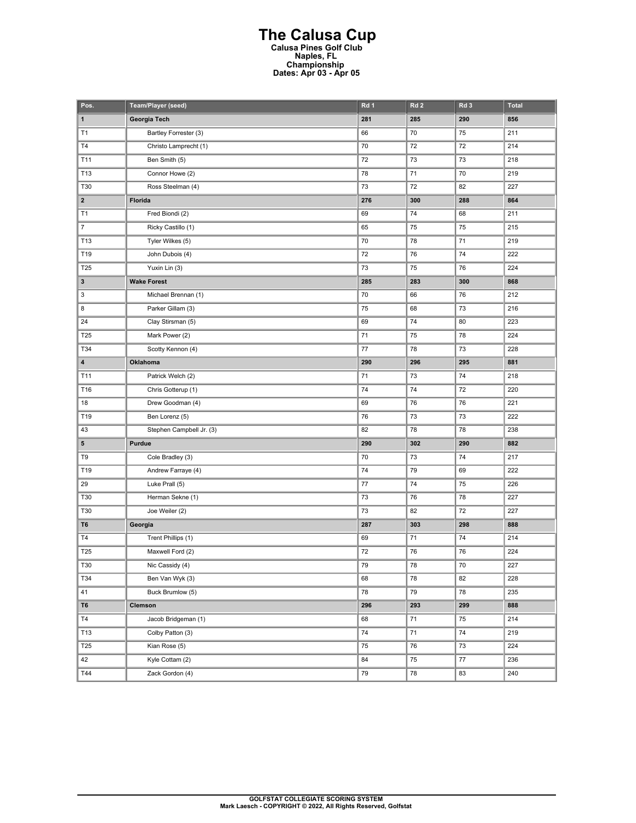## **The Calusa Cup Calusa Pines Golf Club Naples, FL Championship Dates: Apr 03 - Apr 05**

| Pos.                    | Team/Player (seed)       | Rd 1 | Rd <sub>2</sub> | Rd <sub>3</sub> | <b>Total</b> |
|-------------------------|--------------------------|------|-----------------|-----------------|--------------|
| $\mathbf 1$             | Georgia Tech             | 281  | 285             | 290             | 856          |
| T1                      | Bartley Forrester (3)    | 66   | 70              | 75              | 211          |
| T4                      | Christo Lamprecht (1)    | 70   | 72              | 72              | 214          |
| T11                     | Ben Smith (5)            | 72   | 73              | 73              | 218          |
| T13                     | Connor Howe (2)          | 78   | 71              | 70              | 219          |
| T30                     | Ross Steelman (4)        | 73   | 72              | 82              | 227          |
| $\overline{\mathbf{2}}$ | Florida                  | 276  | 300             | 288             | 864          |
| T1                      | Fred Biondi (2)          | 69   | 74              | 68              | 211          |
| $\overline{7}$          | Ricky Castillo (1)       | 65   | 75              | 75              | 215          |
| T13                     | Tyler Wilkes (5)         | 70   | 78              | 71              | 219          |
| T19                     | John Dubois (4)          | 72   | 76              | 74              | 222          |
| T25                     | Yuxin Lin (3)            | 73   | 75              | 76              | 224          |
| 3                       | <b>Wake Forest</b>       | 285  | 283             | 300             | 868          |
| 3                       | Michael Brennan (1)      | 70   | 66              | 76              | 212          |
| 8                       | Parker Gillam (3)        | 75   | 68              | 73              | 216          |
| 24                      | Clay Stirsman (5)        | 69   | 74              | 80              | 223          |
| T25                     | Mark Power (2)           | 71   | 75              | 78              | 224          |
| T34                     | Scotty Kennon (4)        | 77   | 78              | 73              | 228          |
| 4                       | Oklahoma                 | 290  | 296             | 295             | 881          |
| T11                     | Patrick Welch (2)        | 71   | 73              | 74              | 218          |
| T16                     | Chris Gotterup (1)       | 74   | 74              | 72              | 220          |
| 18                      | Drew Goodman (4)         | 69   | 76              | 76              | 221          |
| T19                     | Ben Lorenz (5)           | 76   | 73              | 73              | 222          |
| 43                      | Stephen Campbell Jr. (3) | 82   | 78              | 78              | 238          |
| 5                       | Purdue                   | 290  | 302             | 290             | 882          |
| T9                      | Cole Bradley (3)         | 70   | 73              | 74              | 217          |
| T19                     | Andrew Farraye (4)       | 74   | 79              | 69              | 222          |
| 29                      | Luke Prall (5)           | 77   | 74              | 75              | 226          |
| T30                     | Herman Sekne (1)         | 73   | 76              | 78              | 227          |
| T30                     | Joe Weiler (2)           | 73   | 82              | 72              | 227          |
| T6                      | Georgia                  | 287  | 303             | 298             | 888          |
| <b>T4</b>               | Trent Phillips (1)       | 69   | 71              | 74              | 214          |
| T25                     | Maxwell Ford (2)         | 72   | 76              | 76              | 224          |
| T30                     | Nic Cassidy (4)          | 79   | 78              | $70\,$          | 227          |
| T34                     | Ben Van Wyk (3)          | 68   | 78              | 82              | 228          |
| 41                      | Buck Brumlow (5)         | 78   | 79              | 78              | 235          |
| T <sub>6</sub>          | Clemson                  | 296  | 293             | 299             | 888          |
| T4                      | Jacob Bridgeman (1)      | 68   | 71              | 75              | 214          |
| T13                     | Colby Patton (3)         | 74   | 71              | 74              | 219          |
| T25                     | Kian Rose (5)            | 75   | 76              | 73              | 224          |
| 42                      | Kyle Cottam (2)          | 84   | 75              | $77\,$          | 236          |
| T44                     | Zack Gordon (4)          | 79   | 78              | 83              | 240          |